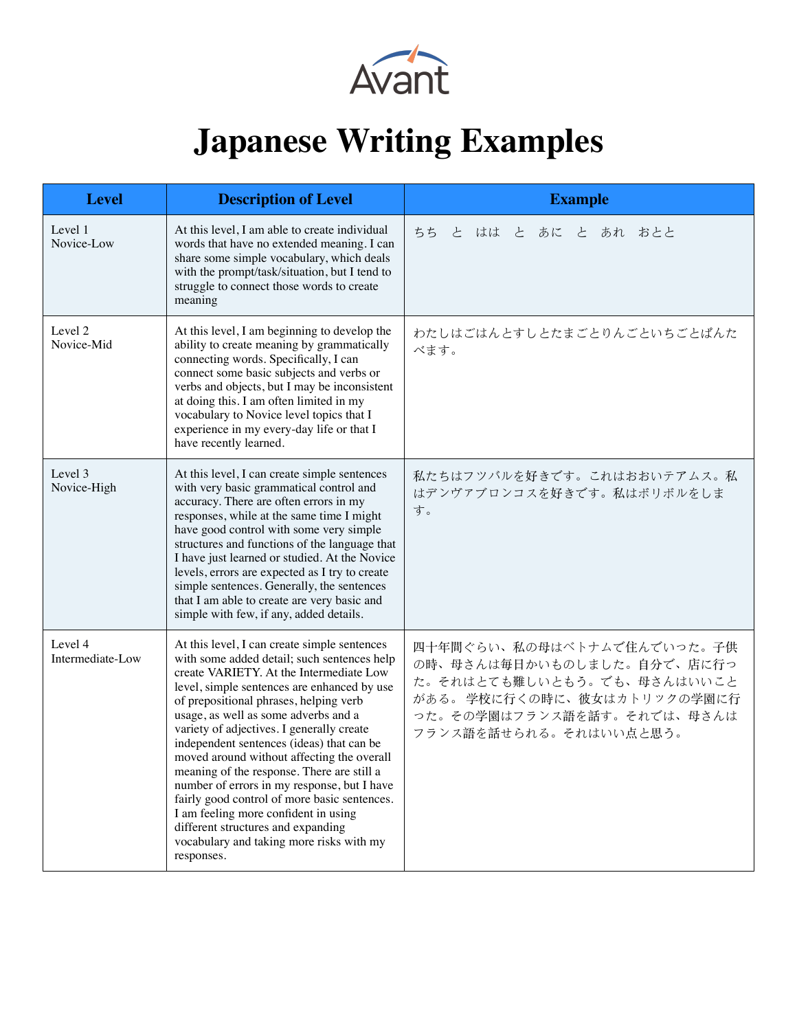

## **Japanese Writing Examples**

| <b>Level</b>                | <b>Description of Level</b>                                                                                                                                                                                                                                                                                                                                                                                                                                                                                                                                                                                                                                                                          | <b>Example</b>                                                                                                                                                               |
|-----------------------------|------------------------------------------------------------------------------------------------------------------------------------------------------------------------------------------------------------------------------------------------------------------------------------------------------------------------------------------------------------------------------------------------------------------------------------------------------------------------------------------------------------------------------------------------------------------------------------------------------------------------------------------------------------------------------------------------------|------------------------------------------------------------------------------------------------------------------------------------------------------------------------------|
| Level 1<br>Novice-Low       | At this level, I am able to create individual<br>words that have no extended meaning. I can<br>share some simple vocabulary, which deals<br>with the prompt/task/situation, but I tend to<br>struggle to connect those words to create<br>meaning                                                                                                                                                                                                                                                                                                                                                                                                                                                    | ちち<br>と はは と あに と あれ おとと                                                                                                                                                     |
| Level 2<br>Novice-Mid       | At this level, I am beginning to develop the<br>ability to create meaning by grammatically<br>connecting words. Specifically, I can<br>connect some basic subjects and verbs or<br>verbs and objects, but I may be inconsistent<br>at doing this. I am often limited in my<br>vocabulary to Novice level topics that I<br>experience in my every-day life or that I<br>have recently learned.                                                                                                                                                                                                                                                                                                        | わたしはごはんとすしとたまごとりんごといちごとぱんた<br>べます。                                                                                                                                           |
| Level 3<br>Novice-High      | At this level, I can create simple sentences<br>with very basic grammatical control and<br>accuracy. There are often errors in my<br>responses, while at the same time I might<br>have good control with some very simple<br>structures and functions of the language that<br>I have just learned or studied. At the Novice<br>levels, errors are expected as I try to create<br>simple sentences. Generally, the sentences<br>that I am able to create are very basic and<br>simple with few, if any, added details.                                                                                                                                                                                | 私たちはフツバルを好きです。これはおおいテアムス。私<br>はデンヴァブロンコスを好きです。私はボリボルをしま<br>す。                                                                                                                |
| Level 4<br>Intermediate-Low | At this level, I can create simple sentences<br>with some added detail; such sentences help<br>create VARIETY. At the Intermediate Low<br>level, simple sentences are enhanced by use<br>of prepositional phrases, helping verb<br>usage, as well as some adverbs and a<br>variety of adjectives. I generally create<br>independent sentences (ideas) that can be<br>moved around without affecting the overall<br>meaning of the response. There are still a<br>number of errors in my response, but I have<br>fairly good control of more basic sentences.<br>I am feeling more confident in using<br>different structures and expanding<br>vocabulary and taking more risks with my<br>responses. | 四十年間ぐらい、私の母はベトナムで住んでいった。子供<br>の時、母さんは毎日かいものしました。自分で、店に行っ<br>た。それはとても難しいともう。でも、母さんはいいこと<br>がある。学校に行くの時に、彼女はカトリックの学園に行<br>った。その学園はフランス語を話す。それでは、母さんは<br>フランス語を話せられる。それはいい点と思う。 |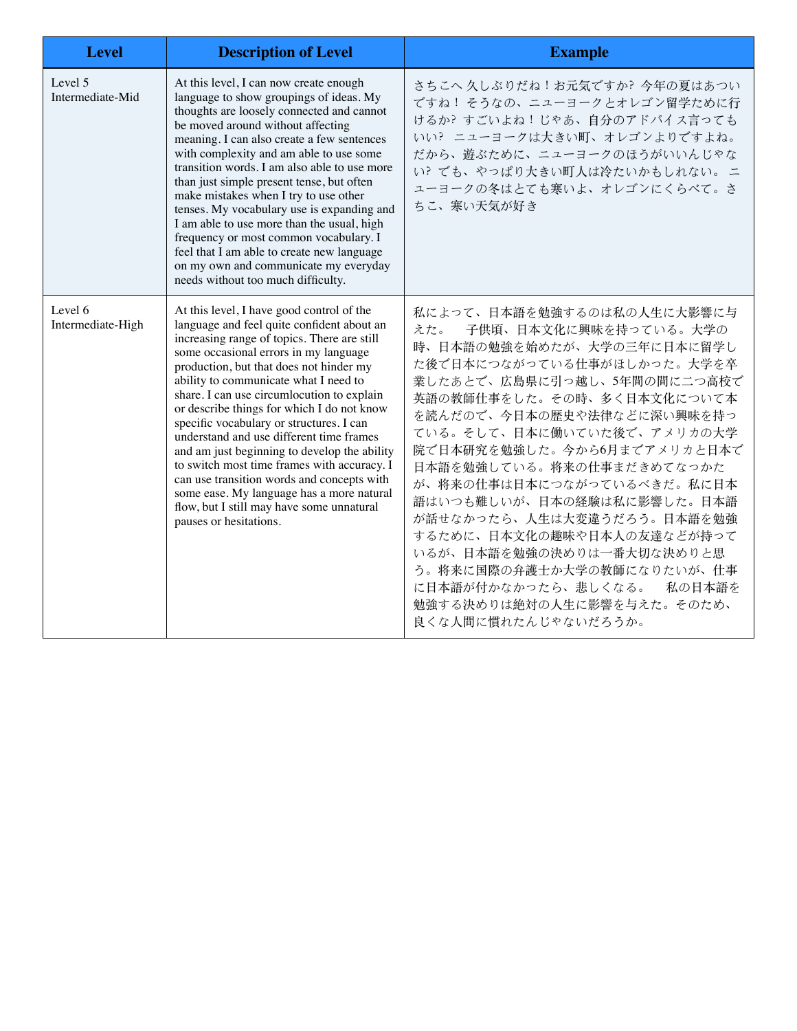| <b>Level</b>                 | <b>Description of Level</b>                                                                                                                                                                                                                                                                                                                                                                                                                                                                                                                                                                                                                                                                                              | <b>Example</b>                                                                                                                                                                                                                                                                                                                                                                                                                                                                                                                                                                       |
|------------------------------|--------------------------------------------------------------------------------------------------------------------------------------------------------------------------------------------------------------------------------------------------------------------------------------------------------------------------------------------------------------------------------------------------------------------------------------------------------------------------------------------------------------------------------------------------------------------------------------------------------------------------------------------------------------------------------------------------------------------------|--------------------------------------------------------------------------------------------------------------------------------------------------------------------------------------------------------------------------------------------------------------------------------------------------------------------------------------------------------------------------------------------------------------------------------------------------------------------------------------------------------------------------------------------------------------------------------------|
| Level 5<br>Intermediate-Mid  | At this level, I can now create enough<br>language to show groupings of ideas. My<br>thoughts are loosely connected and cannot<br>be moved around without affecting<br>meaning. I can also create a few sentences<br>with complexity and am able to use some<br>transition words. I am also able to use more<br>than just simple present tense, but often<br>make mistakes when I try to use other<br>tenses. My vocabulary use is expanding and<br>I am able to use more than the usual, high<br>frequency or most common vocabulary. I<br>feel that I am able to create new language<br>on my own and communicate my everyday<br>needs without too much difficulty.                                                    | さちこへ久しぶりだね!お元気ですか?今年の夏はあつい<br>ですね!そうなの、ニューヨークとオレゴン留学ために行<br>けるか?すごいよね!じゃあ、自分のアドバイス言っても<br>いい? ニューヨークは大きい町、オレゴンよりですよね。<br>だから、遊ぶために、ニューヨークのほうがいいんじゃな<br>い?でも、やっぱり大きい町人は冷たいかもしれない。ニ<br>ユーヨークの冬はとても寒いよ、オレゴンにくらべて。さ<br>ちこ、寒い天気が好き                                                                                                                                                                                                                                                                                                                                                        |
| Level 6<br>Intermediate-High | At this level, I have good control of the<br>language and feel quite confident about an<br>increasing range of topics. There are still<br>some occasional errors in my language<br>production, but that does not hinder my<br>ability to communicate what I need to<br>share. I can use circumlocution to explain<br>or describe things for which I do not know<br>specific vocabulary or structures. I can<br>understand and use different time frames<br>and am just beginning to develop the ability<br>to switch most time frames with accuracy. I<br>can use transition words and concepts with<br>some ease. My language has a more natural<br>flow, but I still may have some unnatural<br>pauses or hesitations. | 私によって、日本語を勉強するのは私の人生に大影響に与<br>子供頃、日本文化に興味を持っている。大学の<br>えた。<br>時、日本語の勉強を始めたが、大学の三年に日本に留学し<br>た後で日本につながっている仕事がほしかった。大学を卒<br>業したあとで、広島県に引っ越し、5年間の間に二つ高校で<br>英語の教師仕事をした。その時、多く日本文化について本<br>を読んだので、今日本の歴史や法律などに深い興味を持っ<br>ている。そして、日本に働いていた後で、アメリカの大学<br>院で日本研究を勉強した。今から6月までアメリカと日本で<br>日本語を勉強している。将来の仕事まだきめてなっかた<br>が、将来の仕事は日本につながっているべきだ。私に日本<br>語はいつも難しいが、日本の経験は私に影響した。日本語<br>が話せなかったら、人生は大変違うだろう。日本語を勉強<br>するために、日本文化の趣味や日本人の友達などが持って<br>いるが、日本語を勉強の決めりは一番大切な決めりと思<br>う。将来に国際の弁護士か大学の教師になりたいが、仕事<br>に日本語が付かなかったら、悲しくなる。<br>私の日本語を<br>勉強する決めりは絶対の人生に影響を与えた。そのため、<br>良くな人間に慣れたんじゃないだろうか。 |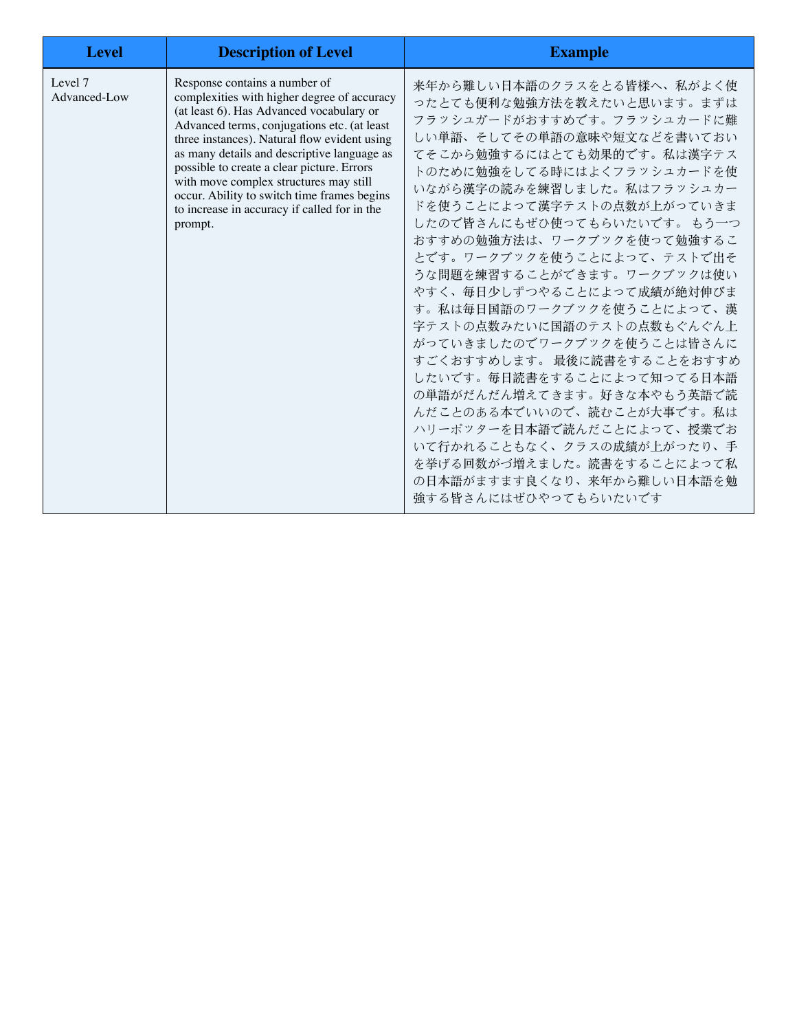| <b>Level</b>            | <b>Description of Level</b>                                                                                                                                                                                                                                                                                                                                                                                                                                              | <b>Example</b>                                                                                                                                                                                                                                                                                                                                                                                                                                                                                                                                                                                                                                                                                                                                                         |
|-------------------------|--------------------------------------------------------------------------------------------------------------------------------------------------------------------------------------------------------------------------------------------------------------------------------------------------------------------------------------------------------------------------------------------------------------------------------------------------------------------------|------------------------------------------------------------------------------------------------------------------------------------------------------------------------------------------------------------------------------------------------------------------------------------------------------------------------------------------------------------------------------------------------------------------------------------------------------------------------------------------------------------------------------------------------------------------------------------------------------------------------------------------------------------------------------------------------------------------------------------------------------------------------|
| Level 7<br>Advanced-Low | Response contains a number of<br>complexities with higher degree of accuracy<br>(at least 6). Has Advanced vocabulary or<br>Advanced terms, conjugations etc. (at least<br>three instances). Natural flow evident using<br>as many details and descriptive language as<br>possible to create a clear picture. Errors<br>with move complex structures may still<br>occur. Ability to switch time frames begins<br>to increase in accuracy if called for in the<br>prompt. | 来年から難しい日本語のクラスをとる皆様へ、私がよく使<br>ったとても便利な勉強方法を教えたいと思います。まずは<br>フラッシュガードがおすすめです。フラッシュカードに難<br>しい単語、そしてその単語の意味や短文などを書いておい<br>てそこから勉強するにはとても効果的です。私は漢字テス<br>トのために勉強をしてる時にはよくフラッシュカードを使<br>いながら漢字の読みを練習しました。私はフラッシュカー<br>ドを使うことによって漢字テストの点数が上がっていきま<br>したので皆さんにもぜひ使ってもらいたいです。 もう一つ<br>おすすめの勉強方法は、ワークブックを使って勉強するこ<br>とです。ワークブックを使うことによって、テストで出そ<br>うな問題を練習することができます。ワークブックは使い<br>やすく、毎日少しずつやることによって成績が絶対伸びま<br>す。私は毎日国語のワークブックを使うことによって、漢<br>字テストの点数みたいに国語のテストの点数もぐんぐん上<br>がっていきましたのでワークブックを使うことは皆さんに<br>すごくおすすめします。 最後に読書をすることをおすすめ<br>したいです。毎日読書をすることによって知ってる日本語<br>の単語がだんだん増えてきます。好きな本やもう英語で読<br>んだことのある本でいいので、読むことが大事です。私は<br>ハリーポッターを日本語で読んだことによって、授業でお<br>いて行かれることもなく、クラスの成績が上がったり、手<br>を挙げる回数がづ増えました。読書をすることによって私<br>の日本語がますます良くなり、来年から難しい日本語を勉<br>強する皆さんにはぜひやってもらいたいです |